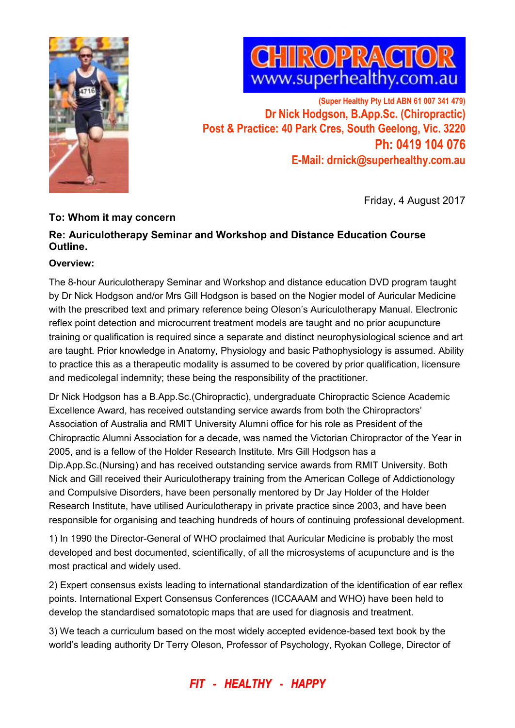



**(Super Healthy Pty Ltd ABN 61 007 341 479) Dr Nick Hodgson, B.App.Sc. (Chiropractic) Post & Practice: 40 Park Cres, South Geelong, Vic. 3220 Ph: 0419 104 076 E-Mail: drnick@superhealthy.com.au**

Friday, 4 August 2017

## **To: Whom it may concern**

## **Re: Auriculotherapy Seminar and Workshop and Distance Education Course Outline.**

### **Overview:**

The 8-hour Auriculotherapy Seminar and Workshop and distance education DVD program taught by Dr Nick Hodgson and/or Mrs Gill Hodgson is based on the Nogier model of Auricular Medicine with the prescribed text and primary reference being Oleson's Auriculotherapy Manual. Electronic reflex point detection and microcurrent treatment models are taught and no prior acupuncture training or qualification is required since a separate and distinct neurophysiological science and art are taught. Prior knowledge in Anatomy, Physiology and basic Pathophysiology is assumed. Ability to practice this as a therapeutic modality is assumed to be covered by prior qualification, licensure and medicolegal indemnity; these being the responsibility of the practitioner.

Dr Nick Hodgson has a B.App.Sc.(Chiropractic), undergraduate Chiropractic Science Academic Excellence Award, has received outstanding service awards from both the Chiropractors' Association of Australia and RMIT University Alumni office for his role as President of the Chiropractic Alumni Association for a decade, was named the Victorian Chiropractor of the Year in 2005, and is a fellow of the Holder Research Institute. Mrs Gill Hodgson has a Dip.App.Sc.(Nursing) and has received outstanding service awards from RMIT University. Both Nick and Gill received their Auriculotherapy training from the American College of Addictionology and Compulsive Disorders, have been personally mentored by Dr Jay Holder of the Holder Research Institute, have utilised Auriculotherapy in private practice since 2003, and have been responsible for organising and teaching hundreds of hours of continuing professional development.

1) In 1990 the Director-General of WHO proclaimed that Auricular Medicine is probably the most developed and best documented, scientifically, of all the microsystems of acupuncture and is the most practical and widely used.

2) Expert consensus exists leading to international standardization of the identification of ear reflex points. International Expert Consensus Conferences (ICCAAAM and WHO) have been held to develop the standardised somatotopic maps that are used for diagnosis and treatment.

3) We teach a curriculum based on the most widely accepted evidence-based text book by the world's leading authority Dr Terry Oleson, Professor of Psychology, Ryokan College, Director of

## *FIT - HEALTHY - HAPPY*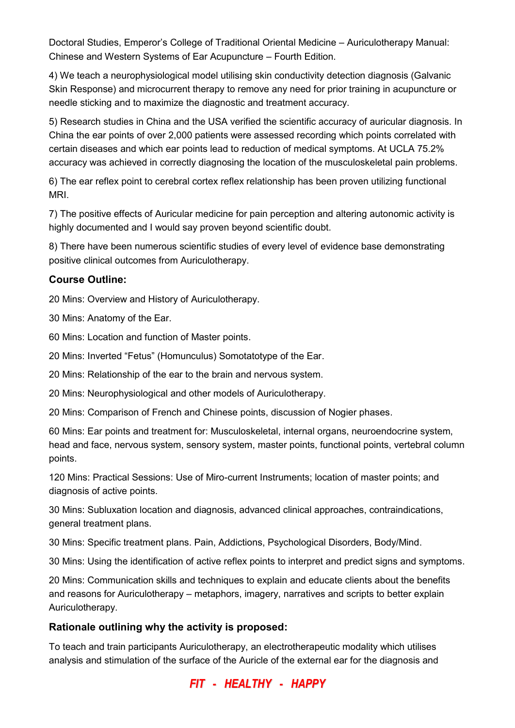Doctoral Studies, Emperor's College of Traditional Oriental Medicine – Auriculotherapy Manual: Chinese and Western Systems of Ear Acupuncture – Fourth Edition.

4) We teach a neurophysiological model utilising skin conductivity detection diagnosis (Galvanic Skin Response) and microcurrent therapy to remove any need for prior training in acupuncture or needle sticking and to maximize the diagnostic and treatment accuracy.

5) Research studies in China and the USA verified the scientific accuracy of auricular diagnosis. In China the ear points of over 2,000 patients were assessed recording which points correlated with certain diseases and which ear points lead to reduction of medical symptoms. At UCLA 75.2% accuracy was achieved in correctly diagnosing the location of the musculoskeletal pain problems.

6) The ear reflex point to cerebral cortex reflex relationship has been proven utilizing functional MRI.

7) The positive effects of Auricular medicine for pain perception and altering autonomic activity is highly documented and I would say proven beyond scientific doubt.

8) There have been numerous scientific studies of every level of evidence base demonstrating positive clinical outcomes from Auriculotherapy.

### **Course Outline:**

20 Mins: Overview and History of Auriculotherapy.

30 Mins: Anatomy of the Ear.

60 Mins: Location and function of Master points.

20 Mins: Inverted "Fetus" (Homunculus) Somotatotype of the Ear.

20 Mins: Relationship of the ear to the brain and nervous system.

20 Mins: Neurophysiological and other models of Auriculotherapy.

20 Mins: Comparison of French and Chinese points, discussion of Nogier phases.

60 Mins: Ear points and treatment for: Musculoskeletal, internal organs, neuroendocrine system, head and face, nervous system, sensory system, master points, functional points, vertebral column points.

120 Mins: Practical Sessions: Use of Miro-current Instruments; location of master points; and diagnosis of active points.

30 Mins: Subluxation location and diagnosis, advanced clinical approaches, contraindications, general treatment plans.

30 Mins: Specific treatment plans. Pain, Addictions, Psychological Disorders, Body/Mind.

30 Mins: Using the identification of active reflex points to interpret and predict signs and symptoms.

20 Mins: Communication skills and techniques to explain and educate clients about the benefits and reasons for Auriculotherapy – metaphors, imagery, narratives and scripts to better explain Auriculotherapy.

### **Rationale outlining why the activity is proposed:**

To teach and train participants Auriculotherapy, an electrotherapeutic modality which utilises analysis and stimulation of the surface of the Auricle of the external ear for the diagnosis and

## *FIT - HEALTHY - HAPPY*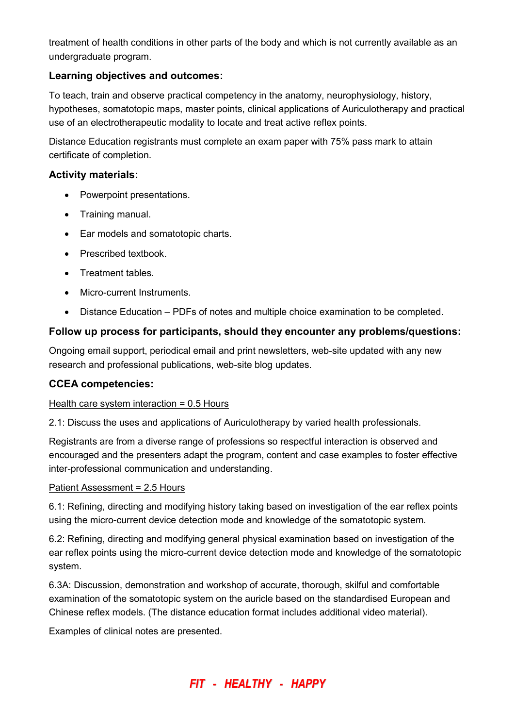treatment of health conditions in other parts of the body and which is not currently available as an undergraduate program.

### **Learning objectives and outcomes:**

To teach, train and observe practical competency in the anatomy, neurophysiology, history, hypotheses, somatotopic maps, master points, clinical applications of Auriculotherapy and practical use of an electrotherapeutic modality to locate and treat active reflex points.

Distance Education registrants must complete an exam paper with 75% pass mark to attain certificate of completion.

### **Activity materials:**

- Powerpoint presentations.
- Training manual.
- Ear models and somatotopic charts.
- Prescribed textbook
- Treatment tables
- Micro-current Instruments.
- Distance Education PDFs of notes and multiple choice examination to be completed.

### **Follow up process for participants, should they encounter any problems/questions:**

Ongoing email support, periodical email and print newsletters, web-site updated with any new research and professional publications, web-site blog updates.

### **CCEA competencies:**

#### Health care system interaction = 0.5 Hours

2.1: Discuss the uses and applications of Auriculotherapy by varied health professionals.

Registrants are from a diverse range of professions so respectful interaction is observed and encouraged and the presenters adapt the program, content and case examples to foster effective inter-professional communication and understanding.

#### Patient Assessment = 2.5 Hours

6.1: Refining, directing and modifying history taking based on investigation of the ear reflex points using the micro-current device detection mode and knowledge of the somatotopic system.

6.2: Refining, directing and modifying general physical examination based on investigation of the ear reflex points using the micro-current device detection mode and knowledge of the somatotopic system.

6.3A: Discussion, demonstration and workshop of accurate, thorough, skilful and comfortable examination of the somatotopic system on the auricle based on the standardised European and Chinese reflex models. (The distance education format includes additional video material).

Examples of clinical notes are presented.

# *FIT - HEALTHY - HAPPY*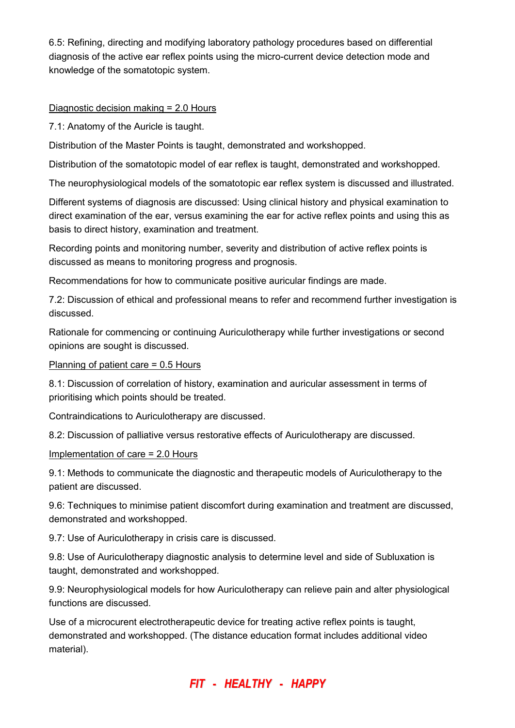6.5: Refining, directing and modifying laboratory pathology procedures based on differential diagnosis of the active ear reflex points using the micro-current device detection mode and knowledge of the somatotopic system.

#### Diagnostic decision making = 2.0 Hours

7.1: Anatomy of the Auricle is taught.

Distribution of the Master Points is taught, demonstrated and workshopped.

Distribution of the somatotopic model of ear reflex is taught, demonstrated and workshopped.

The neurophysiological models of the somatotopic ear reflex system is discussed and illustrated.

Different systems of diagnosis are discussed: Using clinical history and physical examination to direct examination of the ear, versus examining the ear for active reflex points and using this as basis to direct history, examination and treatment.

Recording points and monitoring number, severity and distribution of active reflex points is discussed as means to monitoring progress and prognosis.

Recommendations for how to communicate positive auricular findings are made.

7.2: Discussion of ethical and professional means to refer and recommend further investigation is discussed.

Rationale for commencing or continuing Auriculotherapy while further investigations or second opinions are sought is discussed.

#### Planning of patient care = 0.5 Hours

8.1: Discussion of correlation of history, examination and auricular assessment in terms of prioritising which points should be treated.

Contraindications to Auriculotherapy are discussed.

8.2: Discussion of palliative versus restorative effects of Auriculotherapy are discussed.

#### Implementation of care = 2.0 Hours

9.1: Methods to communicate the diagnostic and therapeutic models of Auriculotherapy to the patient are discussed.

9.6: Techniques to minimise patient discomfort during examination and treatment are discussed, demonstrated and workshopped.

9.7: Use of Auriculotherapy in crisis care is discussed.

9.8: Use of Auriculotherapy diagnostic analysis to determine level and side of Subluxation is taught, demonstrated and workshopped.

9.9: Neurophysiological models for how Auriculotherapy can relieve pain and alter physiological functions are discussed.

Use of a microcurent electrotherapeutic device for treating active reflex points is taught, demonstrated and workshopped. (The distance education format includes additional video material).

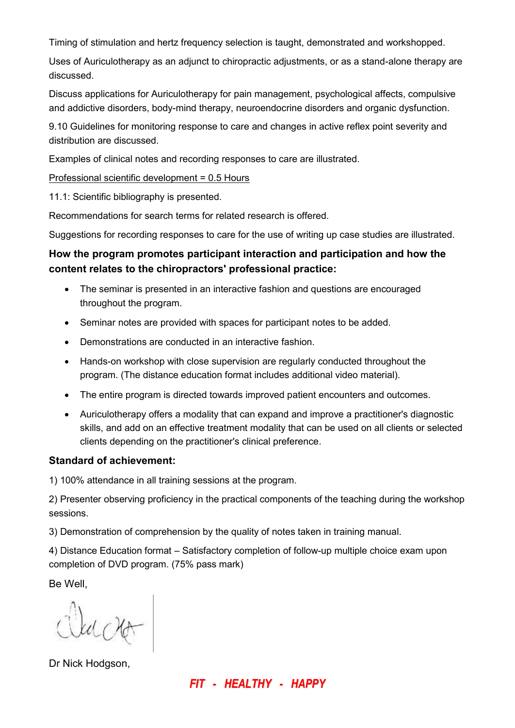Timing of stimulation and hertz frequency selection is taught, demonstrated and workshopped.

Uses of Auriculotherapy as an adjunct to chiropractic adjustments, or as a stand-alone therapy are discussed.

Discuss applications for Auriculotherapy for pain management, psychological affects, compulsive and addictive disorders, body-mind therapy, neuroendocrine disorders and organic dysfunction.

9.10 Guidelines for monitoring response to care and changes in active reflex point severity and distribution are discussed.

Examples of clinical notes and recording responses to care are illustrated.

### Professional scientific development = 0.5 Hours

11.1: Scientific bibliography is presented.

Recommendations for search terms for related research is offered.

Suggestions for recording responses to care for the use of writing up case studies are illustrated.

## **How the program promotes participant interaction and participation and how the content relates to the chiropractors' professional practice:**

- The seminar is presented in an interactive fashion and questions are encouraged throughout the program.
- Seminar notes are provided with spaces for participant notes to be added.
- Demonstrations are conducted in an interactive fashion.
- Hands-on workshop with close supervision are regularly conducted throughout the program. (The distance education format includes additional video material).
- The entire program is directed towards improved patient encounters and outcomes.
- Auriculotherapy offers a modality that can expand and improve a practitioner's diagnostic skills, and add on an effective treatment modality that can be used on all clients or selected clients depending on the practitioner's clinical preference.

## **Standard of achievement:**

1) 100% attendance in all training sessions at the program.

2) Presenter observing proficiency in the practical components of the teaching during the workshop sessions.

3) Demonstration of comprehension by the quality of notes taken in training manual.

4) Distance Education format – Satisfactory completion of follow-up multiple choice exam upon completion of DVD program. (75% pass mark)

Be Well,

laccion

Dr Nick Hodgson,